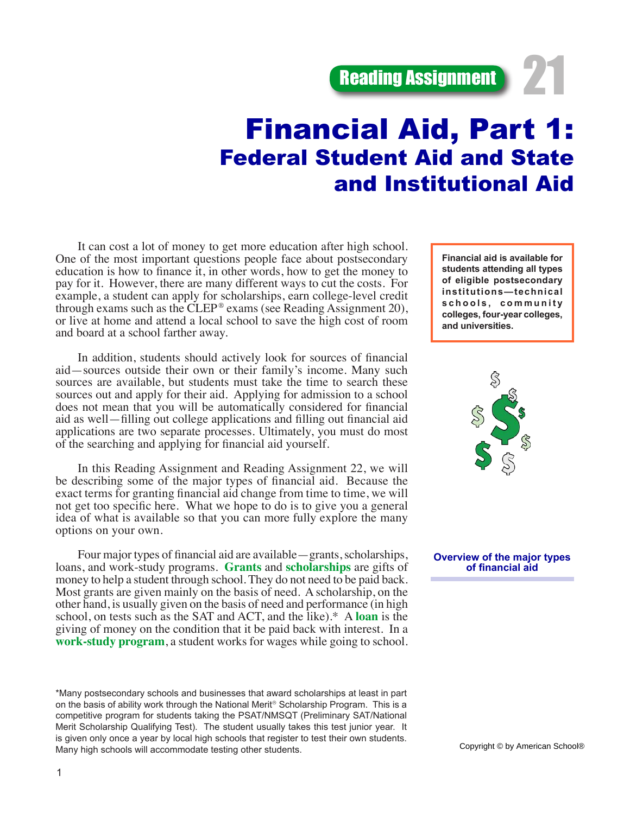**Reading Assignment** 

# Financial Aid, Part 1: Federal Student Aid and State and Institutional Aid

It can cost a lot of money to get more education after high school. One of the most important questions people face about postsecondary education is how to finance it, in other words, how to get the money to pay for it. However, there are many different ways to cut the costs. For example, a student can apply for scholarships, earn college-level credit through exams such as the CLEP<sup>®</sup> exams (see Reading Assignment 20), or live at home and attend a local school to save the high cost of room and board at a school farther away.

In addition, students should actively look for sources of financial aid—sources outside their own or their family's income. Many such sources are available, but students must take the time to search these sources out and apply for their aid. Applying for admission to a school does not mean that you will be automatically considered for financial aid as well—filling out college applications and filling out financial aid applications are two separate processes. Ultimately, you must do most of the searching and applying for financial aid yourself.

In this Reading Assignment and Reading Assignment 22, we will be describing some of the major types of financial aid. Because the exact terms for granting financial aid change from time to time, we will not get too specific here. What we hope to do is to give you a general idea of what is available so that you can more fully explore the many options on your own.

Four major types of financial aid are available—grants, scholarships, loans, and work-study programs. **Grants** and **scholarships** are gifts of money to help a student through school. They do not need to be paid back. Most grants are given mainly on the basis of need. A scholarship, on the other hand, is usually given on the basis of need and performance (in high school, on tests such as the SAT and ACT, and the like).\* A **loan** is the giving of money on the condition that it be paid back with interest. In a **work-study program**, a student works for wages while going to school.

\*Many postsecondary schools and businesses that award scholarships at least in part on the basis of ability work through the National Merit® Scholarship Program. This is a competitive program for students taking the PSAT/NMSQT (Preliminary SAT/National Merit Scholarship Qualifying Test). The student usually takes this test junior year. It is given only once a year by local high schools that register to test their own students. Many high schools will accommodate testing other students.

**Financial aid is available for students attending all types of eligible postsecondary institutions—technical**  schools, community **colleges, four-year colleges, and universities.** 



**Overview of the major types of financial aid**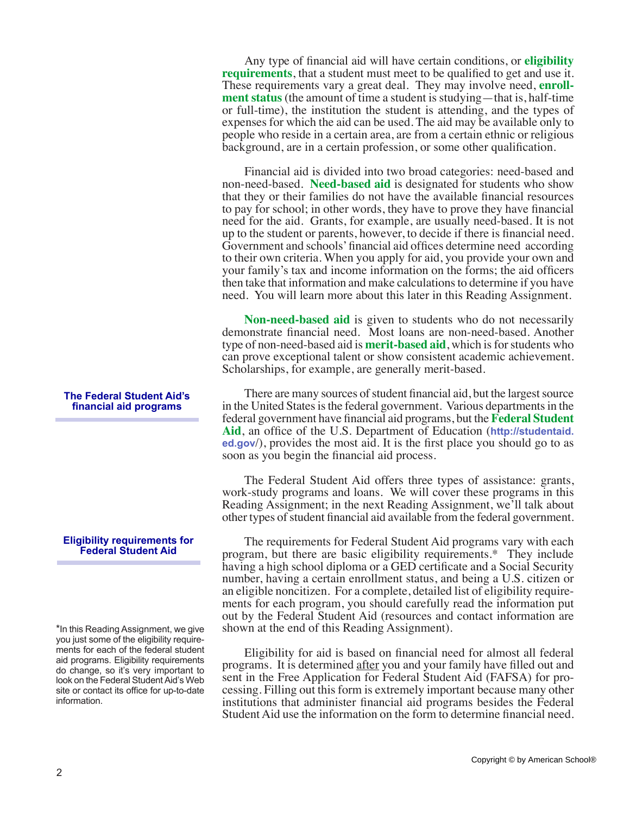Any type of financial aid will have certain conditions, or **eligibility requirements**, that a student must meet to be qualified to get and use it. These requirements vary a great deal. They may involve need, **enrollment status** (the amount of time a student is studying—that is, half-time or full-time), the institution the student is attending, and the types of expenses for which the aid can be used. The aid may be available only to people who reside in a certain area, are from a certain ethnic or religious background, are in a certain profession, or some other qualification.

Financial aid is divided into two broad categories: need-based and non-need-based. **Need-based aid** is designated for students who show that they or their families do not have the available financial resources to pay for school; in other words, they have to prove they have financial need for the aid. Grants, for example, are usually need-based. It is not up to the student or parents, however, to decide if there is financial need. Government and schools' financial aid offices determine need according to their own criteria. When you apply for aid, you provide your own and your family's tax and income information on the forms; the aid officers then take that information and make calculations to determine if you have need. You will learn more about this later in this Reading Assignment.

**Non-need-based aid** is given to students who do not necessarily demonstrate financial need. Most loans are non-need-based. Another type of non-need-based aid is **merit-based aid**, which is for students who can prove exceptional talent or show consistent academic achievement. Scholarships, for example, are generally merit-based.

There are many sources of student financial aid, but the largest source in the United States is the federal government. Various departments in the federal government have financial aid programs, but the **Federal Student Aid**, an office of the U.S. Department of Education (**http://studentaid. ed.gov**/), provides the most aid. It is the first place you should go to as soon as you begin the financial aid process.

The Federal Student Aid offers three types of assistance: grants, work-study programs and loans. We will cover these programs in this Reading Assignment; in the next Reading Assignment, we'll talk about other types of student financial aid available from the federal government.

The requirements for Federal Student Aid programs vary with each program, but there are basic eligibility requirements.\* They include having a high school diploma or a GED certificate and a Social Security number, having a certain enrollment status, and being a U.S. citizen or an eligible noncitizen. For a complete, detailed list of eligibility requirements for each program, you should carefully read the information put out by the Federal Student Aid (resources and contact information are shown at the end of this Reading Assignment).

Eligibility for aid is based on financial need for almost all federal programs. It is determined after you and your family have filled out and sent in the Free Application for Federal Student Aid (FAFSA) for processing. Filling out this form is extremely important because many other institutions that administer financial aid programs besides the Federal Student Aid use the information on the form to determine financial need.

#### **The Federal Student Aid's financial aid programs**

#### **Eligibility requirements for Federal Student Aid**

\*In this Reading Assignment, we give you just some of the eligibility requirements for each of the federal student aid programs. Eligibility requirements do change, so it's very important to look on the Federal Student Aid's Web site or contact its office for up-to-date information.